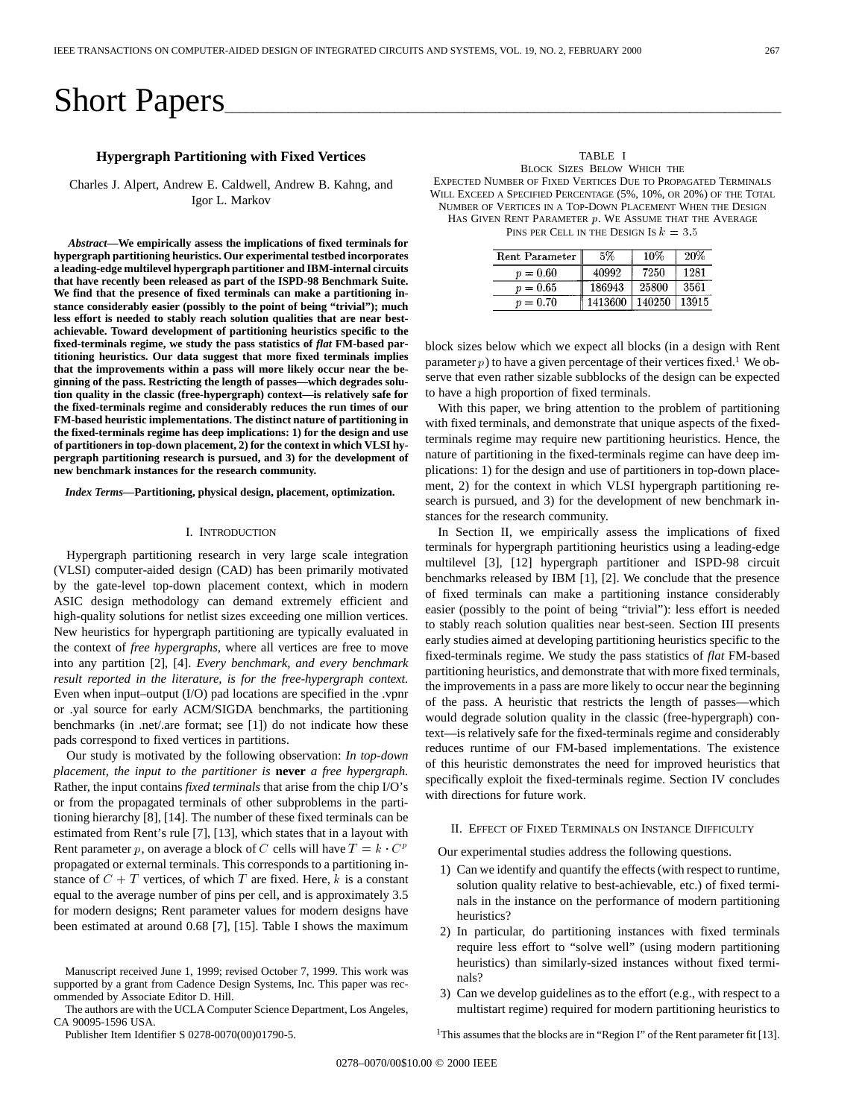# Short Papers

# **Hypergraph Partitioning with Fixed Vertices**

Charles J. Alpert, Andrew E. Caldwell, Andrew B. Kahng, and Igor L. Markov

*Abstract—***We empirically assess the implications of fixed terminals for hypergraph partitioning heuristics. Our experimental testbed incorporates a leading-edge multilevel hypergraph partitioner and IBM-internal circuits that have recently been released as part of the ISPD-98 Benchmark Suite. We find that the presence of fixed terminals can make a partitioning instance considerably easier (possibly to the point of being "trivial"); much less effort is needed to stably reach solution qualities that are near bestachievable. Toward development of partitioning heuristics specific to the fixed-terminals regime, we study the pass statistics of** *flat* **FM-based partitioning heuristics. Our data suggest that more fixed terminals implies that the improvements within a pass will more likely occur near the beginning of the pass. Restricting the length of passes—which degrades solution quality in the classic (free-hypergraph) context—is relatively safe for the fixed-terminals regime and considerably reduces the run times of our FM-based heuristic implementations. The distinct nature of partitioning in the fixed-terminals regime has deep implications: 1) for the design and use of partitioners in top-down placement, 2) for the context in which VLSI hypergraph partitioning research is pursued, and 3) for the development of new benchmark instances for the research community.**

*Index Terms—***Partitioning, physical design, placement, optimization.**

## I. INTRODUCTION

Hypergraph partitioning research in very large scale integration (VLSI) computer-aided design (CAD) has been primarily motivated by the gate-level top-down placement context, which in modern ASIC design methodology can demand extremely efficient and high-quality solutions for netlist sizes exceeding one million vertices. New heuristics for hypergraph partitioning are typically evaluated in the context of *free hypergraphs*, where all vertices are free to move into any partition [2], [4]. *Every benchmark, and every benchmark result reported in the literature, is for the free-hypergraph context.* Even when input–output (I/O) pad locations are specified in the .vpnr or .yal source for early ACM/SIGDA benchmarks, the partitioning benchmarks (in .net/.are format; see [1]) do not indicate how these pads correspond to fixed vertices in partitions.

Our study is motivated by the following observation: *In top-down placement, the input to the partitioner is* **never** *a free hypergraph.* Rather, the input contains *fixed terminals* that arise from the chip I/O's or from the propagated terminals of other subproblems in the partitioning hierarchy [8], [14]. The number of these fixed terminals can be tioning inerarchy [8], [14]. The number of these fixed terminals can be estimated from Rent's rule [7], [13], which states that in a layout with Rent parameter p, on average a block of C cells will have  $T = k \cdot C^p$ propagated or external terminals. This corresponds to a partitioning instance of  $C + T$  vertices, of which T are fixed. Here, k is a constant equal to the average number of pins per cell, and is approximately 3.5 for modern designs; Rent parameter values for modern designs have been estimated at around 0.68 [7], [15]. Table I shows the maximum

The authors are with the UCLA Computer Science Department, Los Angeles, CA 90095-1596 USA.

Publisher Item Identifier S 0278-0070(00)01790-5.

TABLE I BLOCK SIZES BELOW WHICH THE EXPECTED NUMBER OF FIXED VERTICES DUE TO PROPAGATED TERMINALS WILL EXCEED A SPECIFIED PERCENTAGE (5%, 10%, OR 20%) OF THE TOTAL NUMBER OF VERTICES IN A TOP-DOWN PLACEMENT WHEN THE DESIGN

HAS GIVEN RENT PARAMETER  $p$ . WE ASSUME THAT THE AVERAGE PINS PER CELL IN THE DESIGN IS  $k = 3.5$ 

| Rent Parameter | 5%      | 10%    | 20%   |
|----------------|---------|--------|-------|
| $p = 0.60$     | 40992   | 7250   | 1281  |
| $p = 0.65$     | 186943  | 25800  | 3561  |
| $p = 0.70$     | 1413600 | 140250 | 13915 |

block sizes below which we expect all blocks (in a design with Rent parameter  $p$ ) to have a given percentage of their vertices fixed.<sup>1</sup> We observe that even rather sizable subblocks of the design can be expected to have a high proportion of fixed terminals.

With this paper, we bring attention to the problem of partitioning with fixed terminals, and demonstrate that unique aspects of the fixedterminals regime may require new partitioning heuristics. Hence, the nature of partitioning in the fixed-terminals regime can have deep implications: 1) for the design and use of partitioners in top-down placement, 2) for the context in which VLSI hypergraph partitioning research is pursued, and 3) for the development of new benchmark instances for the research community.

In Section II, we empirically assess the implications of fixed terminals for hypergraph partitioning heuristics using a leading-edge multilevel [3], [12] hypergraph partitioner and ISPD-98 circuit benchmarks released by IBM [1], [2]. We conclude that the presence of fixed terminals can make a partitioning instance considerably easier (possibly to the point of being "trivial"): less effort is needed to stably reach solution qualities near best-seen. Section III presents early studies aimed at developing partitioning heuristics specific to the fixed-terminals regime. We study the pass statistics of *flat* FM-based partitioning heuristics, and demonstrate that with more fixed terminals, the improvements in a pass are more likely to occur near the beginning of the pass. A heuristic that restricts the length of passes—which would degrade solution quality in the classic (free-hypergraph) context—is relatively safe for the fixed-terminals regime and considerably reduces runtime of our FM-based implementations. The existence of this heuristic demonstrates the need for improved heuristics that specifically exploit the fixed-terminals regime. Section IV concludes with directions for future work.

## II. EFFECT OF FIXED TERMINALS ON INSTANCE DIFFICULTY

Our experimental studies address the following questions.

- 1) Can we identify and quantify the effects (with respect to runtime, solution quality relative to best-achievable, etc.) of fixed terminals in the instance on the performance of modern partitioning heuristics?
- 2) In particular, do partitioning instances with fixed terminals require less effort to "solve well" (using modern partitioning heuristics) than similarly-sized instances without fixed terminals?
- 3) Can we develop guidelines as to the effort (e.g., with respect to a multistart regime) required for modern partitioning heuristics to

<sup>1</sup>This assumes that the blocks are in "Region I" of the Rent parameter fit [13].

Manuscript received June 1, 1999; revised October 7, 1999. This work was supported by a grant from Cadence Design Systems, Inc. This paper was recommended by Associate Editor D. Hill.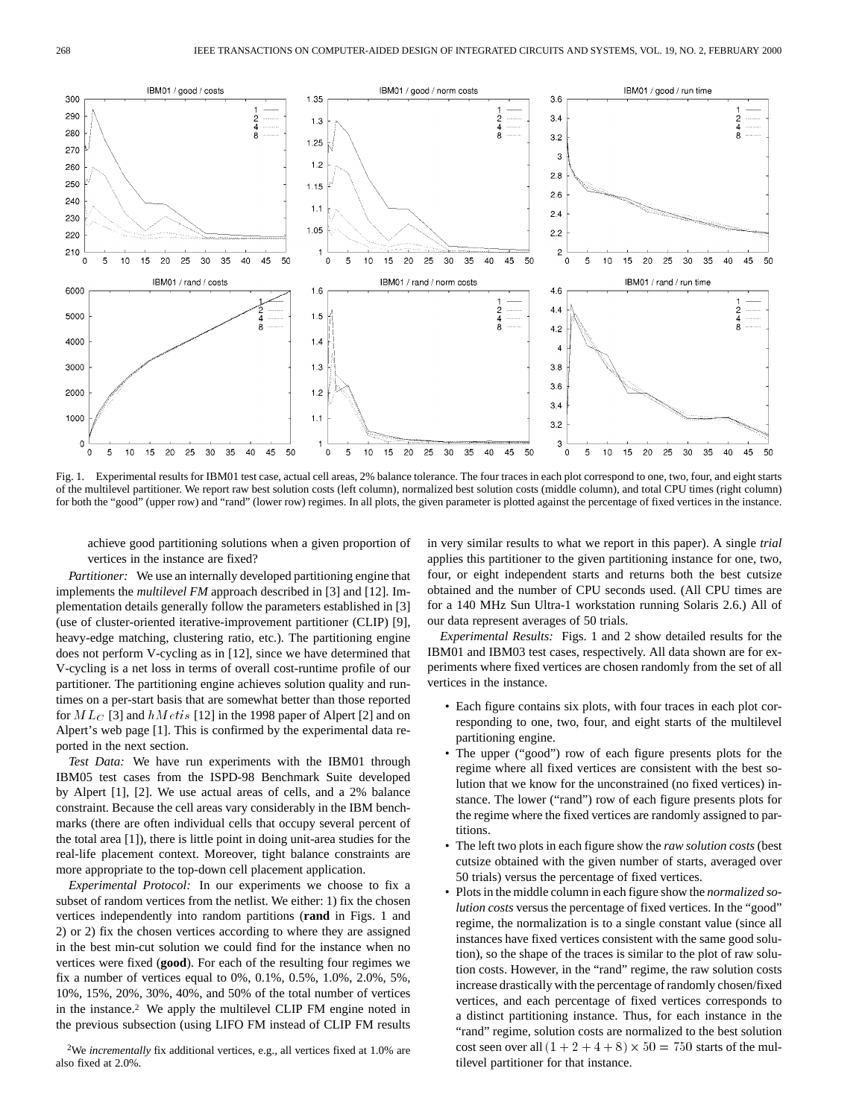

Fig. 1. Experimental results for IBM01 test case, actual cell areas, 2% balance tolerance. The four traces in each plot correspond to one, two, four, and eight starts of the multilevel partitioner. We report raw best solution costs (left column), normalized best solution costs (middle column), and total CPU times (right column) for both the "good" (upper row) and "rand" (lower row) regimes. In all plots, the given parameter is plotted against the percentage of fixed vertices in the instance.

achieve good partitioning solutions when a given proportion of vertices in the instance are fixed?

*Partitioner:* We use an internally developed partitioning engine that implements the *multilevel FM* approach described in [3] and [12]. Implementation details generally follow the parameters established in [3] (use of cluster-oriented iterative-improvement partitioner (CLIP) [9], heavy-edge matching, clustering ratio, etc.). The partitioning engine does not perform V-cycling as in [12], since we have determined that V-cycling is a net loss in terms of overall cost-runtime profile of our partitioner. The partitioning engine achieves solution quality and runtimes on a per-start basis that are somewhat better than those reported for  $ML_C$  [3] and  $hMetis$  [12] in the 1998 paper of Alpert [2] and on Alpert's web page [1]. This is confirmed by the experimental data reported in the next section.

*Test Data:* We have run experiments with the IBM01 through IBM05 test cases from the ISPD-98 Benchmark Suite developed by Alpert [1], [2]. We use actual areas of cells, and a 2% balance constraint. Because the cell areas vary considerably in the IBM benchmarks (there are often individual cells that occupy several percent of the total area [1]), there is little point in doing unit-area studies for the real-life placement context. Moreover, tight balance constraints are more appropriate to the top-down cell placement application.

*Experimental Protocol:* In our experiments we choose to fix a subset of random vertices from the netlist. We either: 1) fix the chosen vertices independently into random partitions (**rand** in Figs. 1 and 2) or 2) fix the chosen vertices according to where they are assigned in the best min-cut solution we could find for the instance when no vertices were fixed (**good**). For each of the resulting four regimes we fix a number of vertices equal to 0%, 0.1%, 0.5%, 1.0%, 2.0%, 5%, 10%, 15%, 20%, 30%, 40%, and 50% of the total number of vertices in the instance.2 We apply the multilevel CLIP FM engine noted in the previous subsection (using LIFO FM instead of CLIP FM results

2We *incrementally* fix additional vertices, e.g., all vertices fixed at 1.0% are also fixed at 2.0%.

in very similar results to what we report in this paper). A single *trial* applies this partitioner to the given partitioning instance for one, two, four, or eight independent starts and returns both the best cutsize obtained and the number of CPU seconds used. (All CPU times are for a 140 MHz Sun Ultra-1 workstation running Solaris 2.6.) All of our data represent averages of 50 trials.

*Experimental Results:* Figs. 1 and 2 show detailed results for the IBM01 and IBM03 test cases, respectively. All data shown are for experiments where fixed vertices are chosen randomly from the set of all vertices in the instance.

- Each figure contains six plots, with four traces in each plot corresponding to one, two, four, and eight starts of the multilevel partitioning engine.
- The upper ("good") row of each figure presents plots for the regime where all fixed vertices are consistent with the best solution that we know for the unconstrained (no fixed vertices) instance. The lower ("rand") row of each figure presents plots for the regime where the fixed vertices are randomly assigned to partitions.
- The left two plots in each figure show the *raw solution costs* (best cutsize obtained with the given number of starts, averaged over 50 trials) versus the percentage of fixed vertices.
- Plots in the middle column in each figure show the *normalized solution costs* versus the percentage of fixed vertices. In the "good" regime, the normalization is to a single constant value (since all instances have fixed vertices consistent with the same good solution), so the shape of the traces is similar to the plot of raw solution costs. However, in the "rand" regime, the raw solution costs increase drastically with the percentage of randomly chosen/fixed vertices, and each percentage of fixed vertices corresponds to a distinct partitioning instance. Thus, for each instance in the "rand" regime, solution costs are normalized to the best solution cost seen over all  $(1 + 2 + 4 + 8) \times 50 = 750$  starts of the multilevel partitioner for that instance.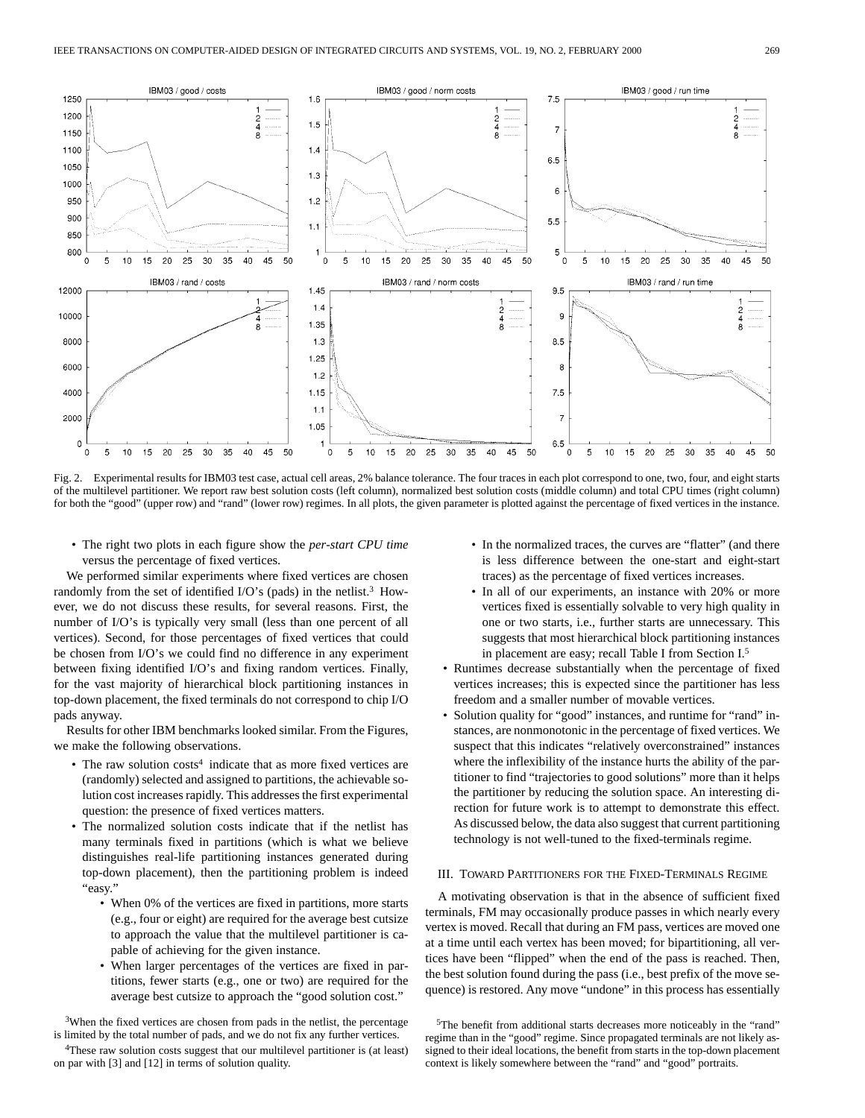

Fig. 2. Experimental results for IBM03 test case, actual cell areas, 2% balance tolerance. The four traces in each plot correspond to one, two, four, and eight starts of the multilevel partitioner. We report raw best solution costs (left column), normalized best solution costs (middle column) and total CPU times (right column) for both the "good" (upper row) and "rand" (lower row) regimes. In all plots, the given parameter is plotted against the percentage of fixed vertices in the instance.

• The right two plots in each figure show the *per-start CPU time* versus the percentage of fixed vertices.

We performed similar experiments where fixed vertices are chosen randomly from the set of identified I/O's (pads) in the netlist.3 However, we do not discuss these results, for several reasons. First, the number of I/O's is typically very small (less than one percent of all vertices). Second, for those percentages of fixed vertices that could be chosen from I/O's we could find no difference in any experiment between fixing identified I/O's and fixing random vertices. Finally, for the vast majority of hierarchical block partitioning instances in top-down placement, the fixed terminals do not correspond to chip I/O pads anyway.

Results for other IBM benchmarks looked similar. From the Figures, we make the following observations.

- The raw solution costs<sup>4</sup> indicate that as more fixed vertices are (randomly) selected and assigned to partitions, the achievable solution cost increases rapidly. This addresses the first experimental question: the presence of fixed vertices matters.
- The normalized solution costs indicate that if the netlist has many terminals fixed in partitions (which is what we believe distinguishes real-life partitioning instances generated during top-down placement), then the partitioning problem is indeed "easy."
	- When 0% of the vertices are fixed in partitions, more starts (e.g., four or eight) are required for the average best cutsize to approach the value that the multilevel partitioner is capable of achieving for the given instance.
	- When larger percentages of the vertices are fixed in partitions, fewer starts (e.g., one or two) are required for the average best cutsize to approach the "good solution cost."

<sup>3</sup>When the fixed vertices are chosen from pads in the netlist, the percentage is limited by the total number of pads, and we do not fix any further vertices.

- In the normalized traces, the curves are "flatter" (and there is less difference between the one-start and eight-start traces) as the percentage of fixed vertices increases.
- In all of our experiments, an instance with 20% or more vertices fixed is essentially solvable to very high quality in one or two starts, i.e., further starts are unnecessary. This suggests that most hierarchical block partitioning instances in placement are easy; recall Table I from Section I.5
- Runtimes decrease substantially when the percentage of fixed vertices increases; this is expected since the partitioner has less freedom and a smaller number of movable vertices.
- Solution quality for "good" instances, and runtime for "rand" instances, are nonmonotonic in the percentage of fixed vertices. We suspect that this indicates "relatively overconstrained" instances where the inflexibility of the instance hurts the ability of the partitioner to find "trajectories to good solutions" more than it helps the partitioner by reducing the solution space. An interesting direction for future work is to attempt to demonstrate this effect. As discussed below, the data also suggest that current partitioning technology is not well-tuned to the fixed-terminals regime.

#### III. TOWARD PARTITIONERS FOR THE FIXED-TERMINALS REGIME

A motivating observation is that in the absence of sufficient fixed terminals, FM may occasionally produce passes in which nearly every vertex is moved. Recall that during an FM pass, vertices are moved one at a time until each vertex has been moved; for bipartitioning, all vertices have been "flipped" when the end of the pass is reached. Then, the best solution found during the pass (i.e., best prefix of the move sequence) is restored. Any move "undone" in this process has essentially

<sup>&</sup>lt;sup>4</sup>These raw solution costs suggest that our multilevel partitioner is (at least) on par with [3] and [12] in terms of solution quality.

<sup>5</sup>The benefit from additional starts decreases more noticeably in the "rand" regime than in the "good" regime. Since propagated terminals are not likely assigned to their ideal locations, the benefit from starts in the top-down placement context is likely somewhere between the "rand" and "good" portraits.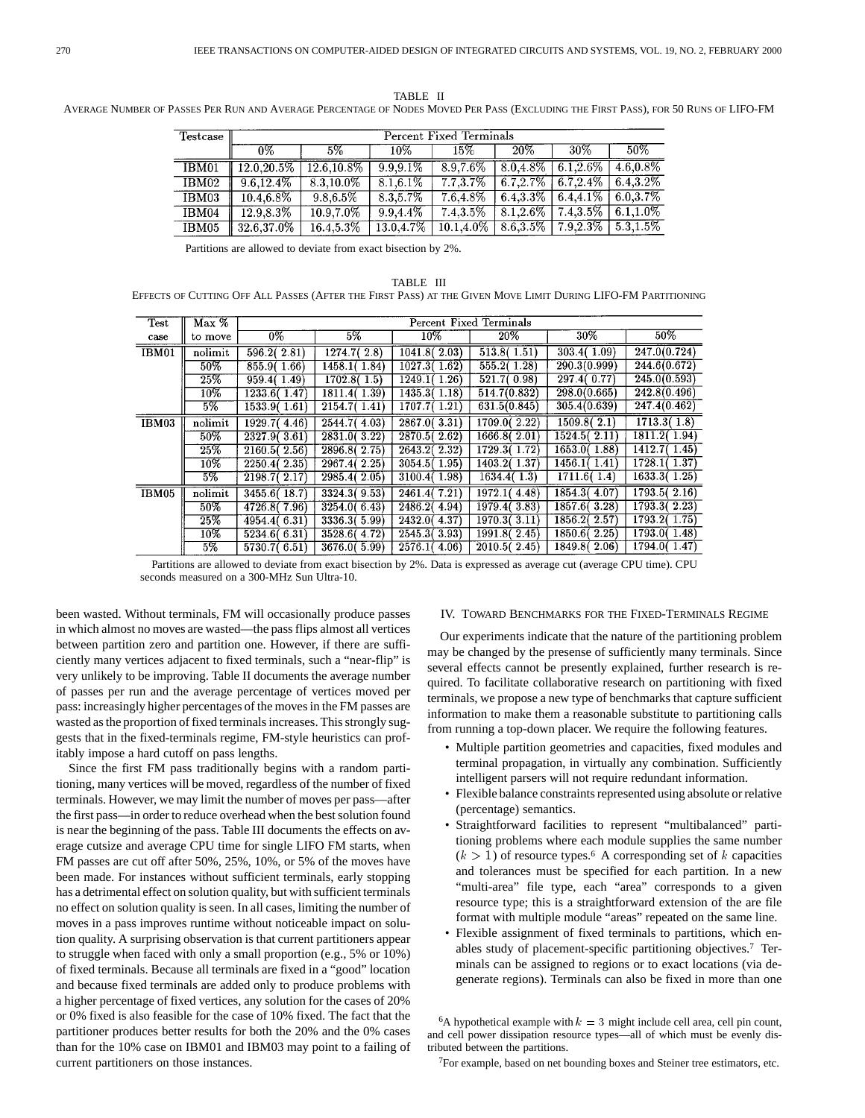**Percent Fixed Terminals** Testcase  $0\%$  $5\%$  $15%$  $20\%$  $30%$  $50%$ 10%  $12.0,20.5\%$  |  $12.6,10.8\%$  $9.9.9.1%$  $8.0.4.8\%$  $6.1, 2.6\%$  $4.6,0.8\%$ IBM01 8.9,7.6%  $\overline{\text{IBM}02}$  $9.6, 12.4\%$ 8.3,10.0%  $8.1, 6.1\%$  $7.7, 3.7\%$  $6.7, 2.7\%$  $6.7, 2.4\%$  $6.4, 3.2\%$ IBM03 10.4,6.8%  $9.8, 6.5\%$  $8.3,5.7\%$  $7.6,4.8\%$  $6.4, 3.3\%$  $6.4.4.1\%$  $6.0, 3.7\%$ IBM04 12.9.8.3% 10.9,7.0%  $9.9,4.4\%$  $7.4,3.5\%$  $8.1, 2.6\%$  $7.4,3.5\%$  $6.1, 1.0\%$ 13.0,4.7%  $\boxed{10.1, 4.0\% \mid 8.6, 3.5\% \mid 7.9, 2.3\% \mid}$ IBM05  $32.6,37.0\%$  $16.4,\!5.3\%$  $5.3, 1.5\%$ 

TABLE II AVERAGE NUMBER OF PASSES PER RUN AND AVERAGE PERCENTAGE OF NODES MOVED PER PASS (EXCLUDING THE FIRST PASS), FOR 50 RUNS OF LIFO-FM

Partitions are allowed to deviate from exact bisection by 2%.

TABLE III EFFECTS OF CUTTING OFF ALL PASSES (AFTER THE FIRST PASS) AT THE GIVEN MOVE LIMIT DURING LIFO-FM PARTITIONING

| Test  | Max %             | Percent Fixed Terminals |               |               |               |              |              |  |
|-------|-------------------|-------------------------|---------------|---------------|---------------|--------------|--------------|--|
| case  | to move           | 0%                      | 5%            | $10\%$        | 20%           | 30%          | $50\%$       |  |
| IBM01 | nolimit           | 596.2(2.81)             | 1274.7(2.8)   | 1041.8(2.03)  | 513.8(1.51)   | 303.4(1.09)  | 247.0(0.724) |  |
|       | $50\%$            | 855.9(1.66)             | 1458.1(1.84)  | 1027.3(1.62)  | 555.2(1.28)   | 290.3(0.999) | 244.6(0.672) |  |
|       | 25%               | 959.4(1.49)             | 1702.8(1.5)   | 1249.1 (1.26) | 521.7(0.98)   | 297.4(0.77)  | 245.0(0.593) |  |
|       | 10%               | 1233.6(1.47)            | 1811.4(1.39)  | 1435.3(1.18)  | 514.7(0.832)  | 298.0(0.665) | 242.8(0.496) |  |
|       | $5\%$             | 1533.9(1.61)            | 2154.7(1.41)  | 1707.7(1.21)  | 631.5(0.845)  | 305.4(0.639) | 247.4(0.462) |  |
| IBM03 | nolimit           | 1929.7(4.46)            | 2544.7(4.03)  | 2867.0(3.31)  | 1709.0(2.22)  | 1509.8(2.1)  | 1713.3(1.8)  |  |
|       | $50\%$            | 2327.9(3.61)            | 2831.0(3.22)  | 2870.5(2.62)  | 1666.8(2.01)  | 1524.5(2.11) | 1811.2(1.94) |  |
|       | 25%               | 2160.5(2.56)            | 2896.8 (2.75) | 2643.2(2.32)  | 1729.3(1.72)  | 1653.0(1.88) | 1412.7(1.45) |  |
|       | $\overline{10\%}$ | 2250.4(2.35)            | 2967.4 (2.25) | 3054.5(1.95)  | 1403.2(1.37)  | 1456.1(1.41) | 1728.1(1.37) |  |
|       | $5\%$             | 2198.7(2.17)            | 2985.4(2.05)  | 3100.4(1.98)  | 1634.4(1.3)   | 1711.6(1.4)  | 1633.3(1.25) |  |
| IBM05 | nolimit           | 3455.6(18.7)            | 3324.3(9.53)  | 2461.4(7.21)  | 1972.1(4.48)  | 1854.3(4.07) | 1793.5(2.16) |  |
|       | $50\%$            | 4726.8 (7.96)           | 3254.0(6.43)  | 2486.2(4.94)  | 1979.4(3.83)  | 1857.6(3.28) | 1793.3(2.23) |  |
|       | 25%               | 4954.4(6.31)            | 3336.3(5.99)  | 2432.0(4.37)  | 1970.3(3.11)  | 1856.2(2.57) | 1793.2(1.75) |  |
|       | $10\%$            | 5234.6(6.31)            | 3528.6(4.72)  | 2545.3(3.93)  | 1991.8 (2.45) | 1850.6(2.25) | 1793.0(1.48) |  |
|       | $5\%$             | 5730.7(6.51)            | 3676.0(5.99)  | 2576.1(4.06)  | 2010.5(2.45)  | 1849.8(2.06) | 1794.0(1.47) |  |

Partitions are allowed to deviate from exact bisection by 2%. Data is expressed as average cut (average CPU time). CPU seconds measured on a 300-MHz Sun Ultra-10.

been wasted. Without terminals, FM will occasionally produce passes in which almost no moves are wasted—the pass flips almost all vertices between partition zero and partition one. However, if there are sufficiently many vertices adjacent to fixed terminals, such a "near-flip" is very unlikely to be improving. Table II documents the average number of passes per run and the average percentage of vertices moved per pass: increasingly higher percentages of the moves in the FM passes are wasted as the proportion of fixed terminals increases. This strongly suggests that in the fixed-terminals regime, FM-style heuristics can profitably impose a hard cutoff on pass lengths.

Since the first FM pass traditionally begins with a random partitioning, many vertices will be moved, regardless of the number of fixed terminals. However, we may limit the number of moves per pass—after the first pass—in order to reduce overhead when the best solution found is near the beginning of the pass. Table III documents the effects on average cutsize and average CPU time for single LIFO FM starts, when FM passes are cut off after 50%, 25%, 10%, or 5% of the moves have been made. For instances without sufficient terminals, early stopping has a detrimental effect on solution quality, but with sufficient terminals no effect on solution quality is seen. In all cases, limiting the number of moves in a pass improves runtime without noticeable impact on solution quality. A surprising observation is that current partitioners appear to struggle when faced with only a small proportion (e.g., 5% or 10%) of fixed terminals. Because all terminals are fixed in a "good" location and because fixed terminals are added only to produce problems with a higher percentage of fixed vertices, any solution for the cases of 20% or 0% fixed is also feasible for the case of 10% fixed. The fact that the partitioner produces better results for both the 20% and the 0% cases than for the 10% case on IBM01 and IBM03 may point to a failing of current partitioners on those instances.

# IV. TOWARD BENCHMARKS FOR THE FIXED-TERMINALS REGIME

Our experiments indicate that the nature of the partitioning problem may be changed by the presense of sufficiently many terminals. Since several effects cannot be presently explained, further research is required. To facilitate collaborative research on partitioning with fixed terminals, we propose a new type of benchmarks that capture sufficient information to make them a reasonable substitute to partitioning calls from running a top-down placer. We require the following features.

- Multiple partition geometries and capacities, fixed modules and terminal propagation, in virtually any combination. Sufficiently intelligent parsers will not require redundant information.
- Flexible balance constraints represented using absolute or relative (percentage) semantics.
- Straightforward facilities to represent "multibalanced" partitioning problems where each module supplies the same number  $(k > 1)$  of resource types.<sup>6</sup> A corresponding set of k capacities and tolerances must be specified for each partition. In a new "multi-area" file type, each "area" corresponds to a given resource type; this is a straightforward extension of the are file format with multiple module "areas" repeated on the same line.
- Flexible assignment of fixed terminals to partitions, which enables study of placement-specific partitioning objectives.7 Terminals can be assigned to regions or to exact locations (via degenerate regions). Terminals can also be fixed in more than one

7For example, based on net bounding boxes and Steiner tree estimators, etc.

<sup>&</sup>lt;sup>6</sup>A hypothetical example with  $k = 3$  might include cell area, cell pin count, and cell power dissipation resource types—all of which must be evenly distributed between the partitions.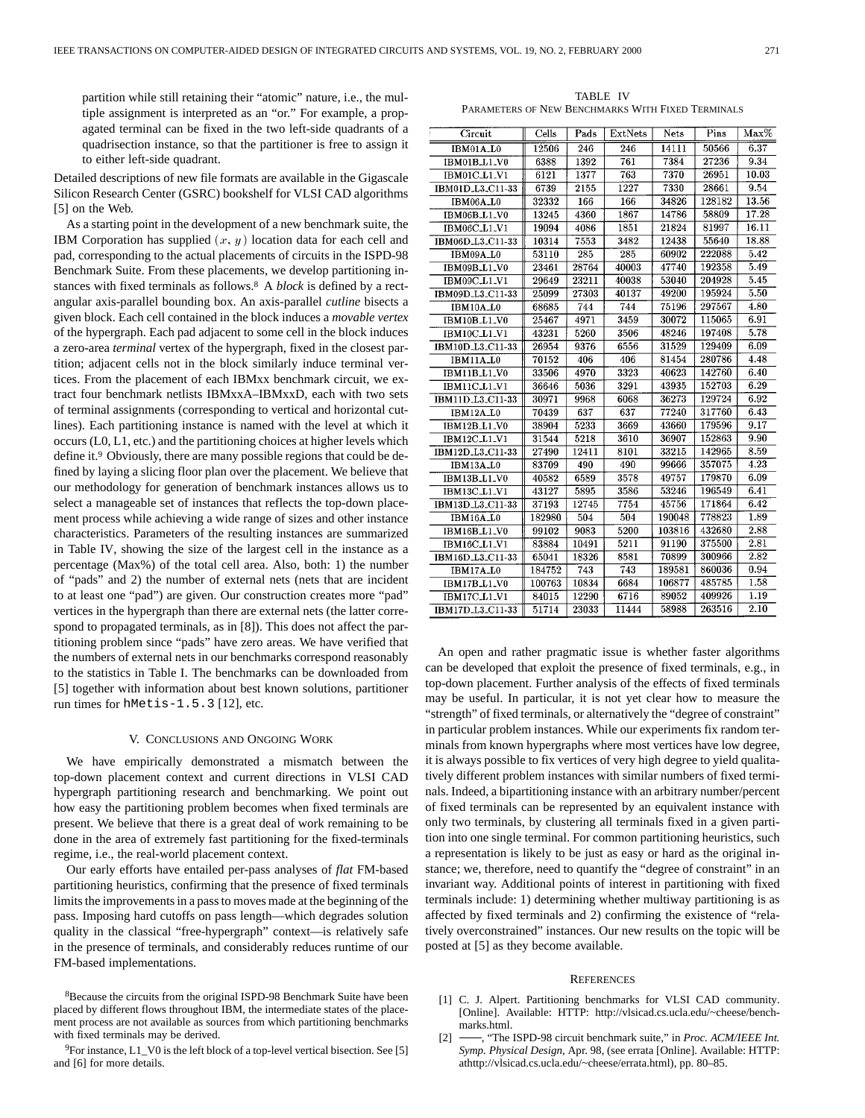partition while still retaining their "atomic" nature, i.e., the multiple assignment is interpreted as an "or." For example, a propagated terminal can be fixed in the two left-side quadrants of a quadrisection instance, so that the partitioner is free to assign it to either left-side quadrant.

Detailed descriptions of new file formats are available in the Gigascale Silicon Research Center (GSRC) bookshelf for VLSI CAD algorithms [5] on the Web.

As a starting point in the development of a new benchmark suite, the IBM Corporation has supplied  $(x, y)$  location data for each cell and pad, corresponding to the actual placements of circuits in the ISPD-98 Benchmark Suite. From these placements, we develop partitioning instances with fixed terminals as follows.<sup>8</sup> A *block* is defined by a rectangular axis-parallel bounding box. An axis-parallel *cutline* bisects a given block. Each cell contained in the block induces a *movable vertex* of the hypergraph. Each pad adjacent to some cell in the block induces a zero-area *terminal* vertex of the hypergraph, fixed in the closest partition; adjacent cells not in the block similarly induce terminal vertices. From the placement of each IBMxx benchmark circuit, we extract four benchmark netlists IBMxxA–IBMxxD, each with two sets of terminal assignments (corresponding to vertical and horizontal cutlines). Each partitioning instance is named with the level at which it occurs (L0, L1, etc.) and the partitioning choices at higher levels which define it.9 Obviously, there are many possible regions that could be defined by laying a slicing floor plan over the placement. We believe that our methodology for generation of benchmark instances allows us to select a manageable set of instances that reflects the top-down placement process while achieving a wide range of sizes and other instance characteristics. Parameters of the resulting instances are summarized in Table IV, showing the size of the largest cell in the instance as a percentage (Max%) of the total cell area. Also, both: 1) the number of "pads" and 2) the number of external nets (nets that are incident to at least one "pad") are given. Our construction creates more "pad" vertices in the hypergraph than there are external nets (the latter correspond to propagated terminals, as in [8]). This does not affect the partitioning problem since "pads" have zero areas. We have verified that the numbers of external nets in our benchmarks correspond reasonably to the statistics in Table I. The benchmarks can be downloaded from [5] together with information about best known solutions, partitioner run times for hMetis-1.5.3 [12], etc.

# V. CONCLUSIONS AND ONGOING WORK

We have empirically demonstrated a mismatch between the top-down placement context and current directions in VLSI CAD hypergraph partitioning research and benchmarking. We point out how easy the partitioning problem becomes when fixed terminals are present. We believe that there is a great deal of work remaining to be done in the area of extremely fast partitioning for the fixed-terminals regime, i.e., the real-world placement context.

Our early efforts have entailed per-pass analyses of *flat* FM-based partitioning heuristics, confirming that the presence of fixed terminals limits the improvements in a pass to moves made at the beginning of the pass. Imposing hard cutoffs on pass length—which degrades solution quality in the classical "free-hypergraph" context—is relatively safe in the presence of terminals, and considerably reduces runtime of our FM-based implementations.

TABLE IV PARAMETERS OF NEW BENCHMARKS WITH FIXED TERMINALS

| Circuit                  | Cells  | Pads  | ExtNets | Nets   | Pins   | Max%  |
|--------------------------|--------|-------|---------|--------|--------|-------|
| IBM01A.L0                | 12506  | 246   | 246     | 14111  | 50566  | 6.37  |
| IBM01B_L1_V0             | 6388   | 1392  | 761     | 7384   | 27236  | 9.34  |
| IBM01C_L1_V1             | 6121   | 1377  | 763     | 7370   | 26951  | 10.03 |
| IBM01D_L3_C11-33         | 6739   | 2155  | 1227    | 7330   | 28661  | 9.54  |
| IBM06A_L0                | 32332  | 166   | 166     | 34826  | 128182 | 13.56 |
| IBM06B_L1_V0             | 13245  | 4360  | 1867    | 14786  | 58809  | 17.28 |
| IBM06C_L1_V1             | 19094  | 4086  | 1851    | 21824  | 81997  | 16.11 |
| IBM06D_L3_C11-33         | 10314  | 7553  | 3482    | 12438  | 55640  | 18.88 |
| IBM09A_L0                | 53110  | 285   | 285     | 60902  | 222088 | 5.42  |
| IBM09B_L1_V0             | 23461  | 28764 | 40003   | 47740  | 192358 | 5.49  |
| IBM09C.L1.V1             | 29649  | 23211 | 40038   | 53040  | 204928 | 5.45  |
| IBM09D_L3_C11-33         | 25099  | 27303 | 40137   | 49200  | 195924 | 5.50  |
| IBM10A_L0                | 68685  | 744   | 744     | 75196  | 297567 | 4.80  |
| IBM10B_L1_V0             | 25467  | 4971  | 3459    | 30072  | 115065 | 6.91  |
| IBM10C_L1_V1             | 43231  | 5260  | 3506    | 48246  | 197408 | 5.78  |
| IBM10D_L3_C11-33         | 26954  | 9376  | 6556    | 31529  | 129409 | 6.09  |
| IBM11A_L0                | 70152  | 406   | 406     | 81454  | 280786 | 4.48  |
| IBM11B_L1_V0             | 33506  | 4970  | 3323    | 40623  | 142760 | 6.40  |
| IBM11C_L1_V1             | 36646  | 5036  | 3291    | 43935  | 152703 | 6.29  |
| IBM11D_L3_C11-33         | 30971  | 9968  | 6068    | 36273  | 129724 | 6.92  |
| IBM12A_L0                | 70439  | 637   | 637     | 77240  | 317760 | 6.43  |
| IBM12B_L1_V0             | 38904  | 5233  | 3669    | 43660  | 179596 | 9.17  |
| IBM12C.L1.V1             | 31544  | 5218  | 3610    | 36907  | 152863 | 9.90  |
| IBM12D_L3_C11-33         | 27490  | 12411 | 8101    | 33215  | 142965 | 8.59  |
| IBM13A_L0                | 83709  | 490   | 490     | 99666  | 357075 | 4.23  |
| IBM13B <sub>-L1-V0</sub> | 40582  | 6589  | 3578    | 49757  | 179870 | 6.09  |
| IBM13C_L1_V1             | 43127  | 5895  | 3586    | 53246  | 196549 | 6.41  |
| IBM13D_L3_C11-33         | 37193  | 12745 | 7754    | 45756  | 171864 | 6.42  |
| IBM16A_L0                | 182980 | 504   | 504     | 190048 | 778823 | 1.89  |
| IBM16B_L1_V0             | 99102  | 9083  | 5200    | 103816 | 432680 | 2.88  |
| IBM16C_L1_V1             | 83884  | 10491 | 5211    | 91190  | 375500 | 2.81  |
| IBM16D_L3_C11-33         | 65041  | 18326 | 8581    | 70899  | 300966 | 2.82  |
| IBM17A_L0                | 184752 | 743   | 743     | 189581 | 860036 | 0.94  |
| IBM17B_L1_V0             | 100763 | 10834 | 6684    | 106877 | 485785 | 1.58  |
| IBM17C.L1.V1             | 84015  | 12290 | 6716    | 89052  | 409926 | 1.19  |
| IBM17D_L3_C11-33         | 51714  | 23033 | 11444   | 58988  | 263516 | 2.10  |

An open and rather pragmatic issue is whether faster algorithms can be developed that exploit the presence of fixed terminals, e.g., in top-down placement. Further analysis of the effects of fixed terminals may be useful. In particular, it is not yet clear how to measure the "strength" of fixed terminals, or alternatively the "degree of constraint" in particular problem instances. While our experiments fix random terminals from known hypergraphs where most vertices have low degree, it is always possible to fix vertices of very high degree to yield qualitatively different problem instances with similar numbers of fixed terminals. Indeed, a bipartitioning instance with an arbitrary number/percent of fixed terminals can be represented by an equivalent instance with only two terminals, by clustering all terminals fixed in a given partition into one single terminal. For common partitioning heuristics, such a representation is likely to be just as easy or hard as the original instance; we, therefore, need to quantify the "degree of constraint" in an invariant way. Additional points of interest in partitioning with fixed terminals include: 1) determining whether multiway partitioning is as affected by fixed terminals and 2) confirming the existence of "relatively overconstrained" instances. Our new results on the topic will be posted at [5] as they become available.

# **REFERENCES**

- [1] C. J. Alpert. Partitioning benchmarks for VLSI CAD community. [Online]. Available: HTTP: http://vlsicad.cs.ucla.edu/~cheese/benchmarks.html.
- [2]  $\rightarrow$ , "The ISPD-98 circuit benchmark suite," in *Proc. ACM/IEEE Int. Symp. Physical Design*, Apr. 98, (see errata [Online]. Available: HTTP: athttp://vlsicad.cs.ucla.edu/~cheese/errata.html), pp. 80–85.

<sup>8</sup>Because the circuits from the original ISPD-98 Benchmark Suite have been placed by different flows throughout IBM, the intermediate states of the placement process are not available as sources from which partitioning benchmarks with fixed terminals may be derived.

 $9$ For instance, L1\_V0 is the left block of a top-level vertical bisection. See [5] and [6] for more details.